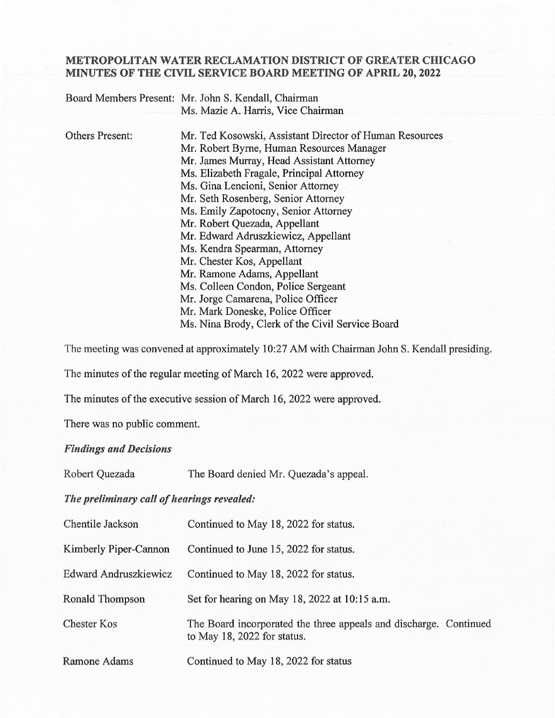## METROPOLITAN WATER RECLAMATION DISTRICT OF GREATER CHICAGO MINUTES OF THE CIVIL SERVICE BOARD MEETING OF APRIL 20, 2022

|                        | Board Members Present: Mr. John S. Kendall, Chairman    |
|------------------------|---------------------------------------------------------|
|                        | Ms. Mazie A. Harris, Vice Chairman                      |
|                        |                                                         |
| <b>Others Present:</b> | Mr. Ted Kosowski, Assistant Director of Human Resources |
|                        | Mr. Robert Byrne, Human Resources Manager               |
|                        | Mr. James Murray, Head Assistant Attorney               |
|                        | Ms. Elizabeth Fragale, Principal Attorney               |
|                        | Ms. Gina Lencioni, Senior Attorney                      |
|                        | Mr. Seth Rosenberg, Senior Attorney                     |
|                        | Ms. Emily Zapotocny, Senior Attorney                    |
|                        | Mr. Robert Quezada, Appellant                           |
|                        | Mr. Edward Adruszkiewicz, Appellant                     |
|                        | Ms. Kendra Spearman, Attorney                           |
|                        | Mr. Chester Kos, Appellant                              |
|                        | Mr. Ramone Adams, Appellant                             |
|                        | Ms. Colleen Condon, Police Sergeant                     |
|                        | Mr. Jorge Camarena, Police Officer                      |
|                        | Mr. Mark Doneske, Police Officer                        |
|                        | Ms. Nina Brody, Clerk of the Civil Service Board        |

The meeting was convened at approximately 10:27 AM with Chairman John S. Kendall presiding.

The minutes of the regular meeting of March 16, 2022 were approved.

The minutes of the executive session of March 16, 2022 were approved.

There was no public comment.

## Findings and Decisions

Robert Quezada The Board denied Mr. Quezada's appeal.

The preliminary call of hearings revealed:

| Chentile Jackson      | Continued to May 18, 2022 for status.                                                            |
|-----------------------|--------------------------------------------------------------------------------------------------|
| Kimberly Piper-Cannon | Continued to June 15, 2022 for status.                                                           |
| Edward Andruszkiewicz | Continued to May 18, 2022 for status.                                                            |
| Ronald Thompson       | Set for hearing on May 18, 2022 at 10:15 a.m.                                                    |
| <b>Chester Kos</b>    | The Board incorporated the three appeals and discharge. Continued<br>to May 18, 2022 for status. |
| Ramone Adams          | Continued to May 18, 2022 for status                                                             |